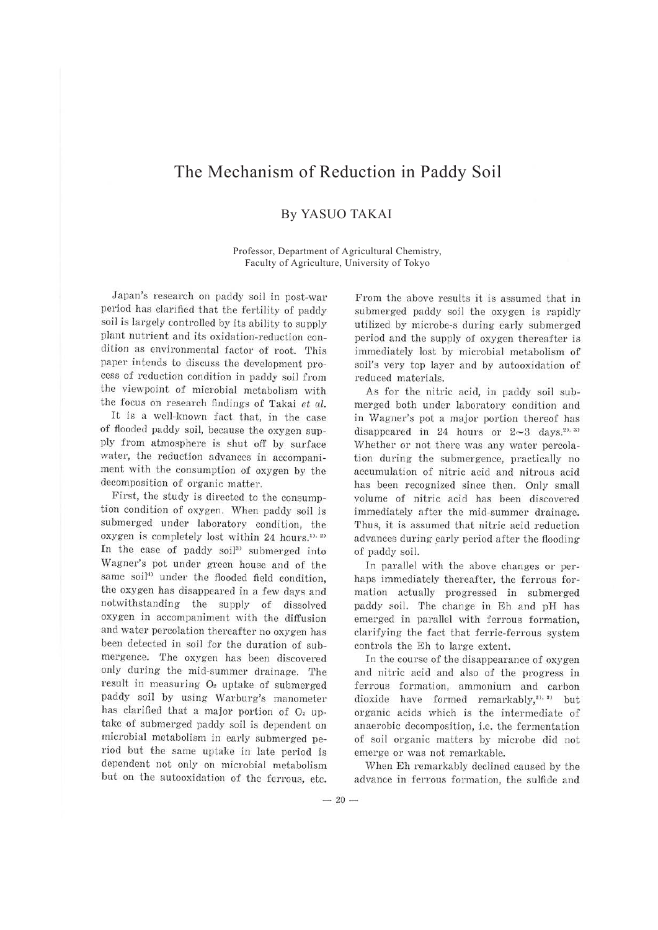## The Mechanism of Reduction in Paddy Soil

## By YASUO TAKAI

Professor, Department of Agricultural Chemistry, Faculty of Agriculture, University of Tokyo

Japan's research on paddy soil in post-war period has clarified that the fertility of paddy soil is largely controlled by its ability to supply plant nutrient and its oxidation-reduction condition as environmental factor of root. This paper intends to discuss the development process of reduction condition in paddy soil from the viewpoint of microbial metabolism with the focus on research findings of Takai *et al.* 

It is a well-known fact that, in the case of flooded paddy soil, because the oxygen supply from atmosphere is shut off by surface water, the reduction advances in accompaniment with the consumption of oxygen by the decomposition of organic matter.

First, the study is directed to the consumption condition of oxygen. When paddy soil is submerged under laboratory condition, the oxygen is completely lost within 24 hours.<sup>1), 2)</sup> In the case of paddy soil<sup>3)</sup> submerged into Wagner's pot under green house and of the same soil<sup>4)</sup> under the flooded field condition, the oxygen has disappeared in a few days and notwithstanding the supply of dissolved oxygen in accompaniment with the diffusion and water percolation thereafter no oxygen has been detected in soil for the duration of submergence. The oxygen has been discovered only during the mid-summer drainage. The result in measuring  $O<sub>2</sub>$  uptake of submerged paddy soil by using Warburg's manometer has clarified that a major portion of  $O<sub>2</sub>$  uptake of submerged paddy soil is dependent on microbial metabolism in early submerged period but the same uptake in late period is dependent not only on microbial metabolism but on the autooxidation of the ferrous, etc.

From the above results it is assumed that in submerged paddy soil the oxygen is rapidly utilized by microbe-s during early submerged period and the supply of oxygen thereafter is immediately lost by microbial metabolism of soil's very top layer and by autooxidation of reduced materials.

As for the nitric acid, in paddy soil submerged both under laboratory condition and in Wagner's pot a major portion thereof has disappeared in 24 hours or  $2 \sim 3$  days.<sup>2), 3)</sup> Whether or not there was any water percolation during the submergence, practically no accumulation of nitric acid and nitrous acid has been recognized since then. Only small volume of nitric acid has been discovered immediately after the mid-summer drainage. Thus, it is assumed that nitric acid reduction advances during early period after the flooding of paddy soil.

In parallel with the above changes or perhaps immediately thereafter, the ferrous formation actually progressed in submerged paddy soil. The change in Eh and pH has emerged in parallel with ferrous formation, clarifying the fact that ferric-ferrous system controls the Eh to large extent.

In the course of the disappearance of oxygen and nitric acid and also of the progress in ferrous formation, ammonium and carbon dioxide have formed remarkably,<sup>2), 3)</sup> but organic acids which is the intermediate of anaerobic decomposition, i.e. the fermentation of soil organic matters by microbe did not emerge or was not remarkable.

When Eh remarkably declined caused by the advance in ferrous formation, the sulfide and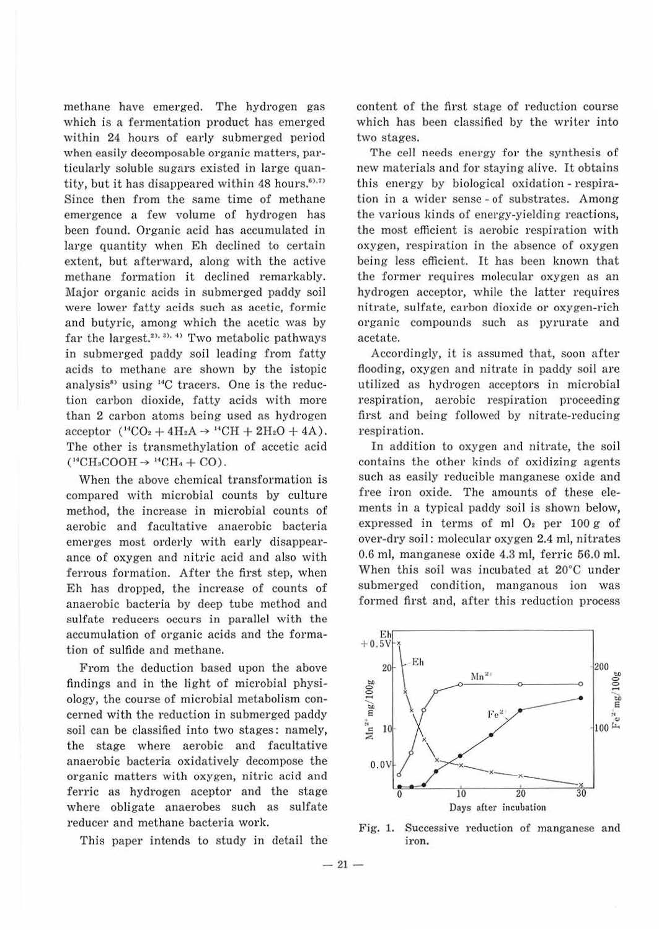methane have emerged. The hydrogen gas which is a fermentation product has emerged within 24 hours of early submerged period when easily decomposable organic matters, particularly soluble sugars existed in large quantity, but it has disappeared within 48 hours.<sup>63,73</sup> Since then from the same time of methane emergence a few volume of hydrogen has been found. Organic acid has accumulated in large quantity when Eh declined to certain extent, but afterward, along with the active methane formation it declined remarkably. Major organic acids in submerged paddy soil were lower fatty acids such as acetic, formic and butyric, among which the acetic was by far the largest.<sup>2), 3), 4)</sup> Two metabolic pathways in submerged paddy soil leading from fatty acids to methane are shown by the istopic analysis<sup>8)</sup> using <sup>14</sup>C tracers. One is the reduction carbon dioxide, fatty acids with more than 2 carbon atoms being used as hydrogen  $\text{acceptor}$  ( $^{14}CO_2 + 4H_2A \rightarrow ^{14}CH + 2H_2O + 4A$ ). The other is transmethylation of accetic acid  $(^{14}CH<sub>3</sub>COOH \rightarrow ^{14}CH<sub>4</sub> + CO).$ 

When the above chemical transformation is compared with microbial counts by culture method, the increase in microbial counts of aerobic and facultative anaerobic bacteria emerges most orderly with early disappearance of oxygen and nitric acid and also with ferrous formation. After the first step, when Eh has dropped, the increase of counts of anaerobic bacteria by deep tube method and sulfate reducers occurs in parallel with the accumu lation of organic acids and the formation of sulfide and methane.

From the deduction based upon the above findings and in the light of microbial physiology, the course of microbial metabolism concerned with the reduction in submerged paddy soil can be classified into two stages: namely, the stage where aerobic and facultative anaerobic bacteria oxidatively decompose the organic matters with oxygen, nitric acid and ferric as hydrogen aceptor and the stage where obligate anaerobes such as sulfate reducer and methane bacteria work.

This paper intends to study in detail the

content of the first stage of reduction course which has been classified by the writer into two stages.

The cell needs energy for the synthesis of new materials and for staying alive. It obtains this energy by biological oxidation - respiration in a wider sense - of substrates. Among the various kinds of energy-yieldjng reactions, the most efficient is aerobic respiration with oxygen, respiration in the absence of oxygen being less efficient. It bas been known that the former requires molecular oxygen as an hydrogen acceptor, while ihe latter requires nitrate, sulfate, carbon dioxide or oxygen-rich organic compounds such as pyrurate and acetate.

Accordingly, it is assumed that, soon after flooding, oxygen and nitrate in paddy soil are utilized as hydrogen acceptors in microbial respiration, aerobic respiration proceeding first and being followed by nitrate-reducing respiration.

In addition to oxygen and nitrate, the soil contains the other kinds of oxidizing agents such as easily reducible manganese oxide and free iron oxide. The amounts of these elements in a typical paddy soil is shown below, expressed in terms of ml *Oz* per 100 g of over-dry soil: molecular oxygen 2.4 ml, nitrates 0.6 ml, manganese oxide 4.3 ml, ferric 56.0 ml. When this soil was incubated at 20°C under submerged condition, manganous ion was formed first and, after this reduction process



Fig. 1. Successive reduction of manganese and iron.

 $-21-$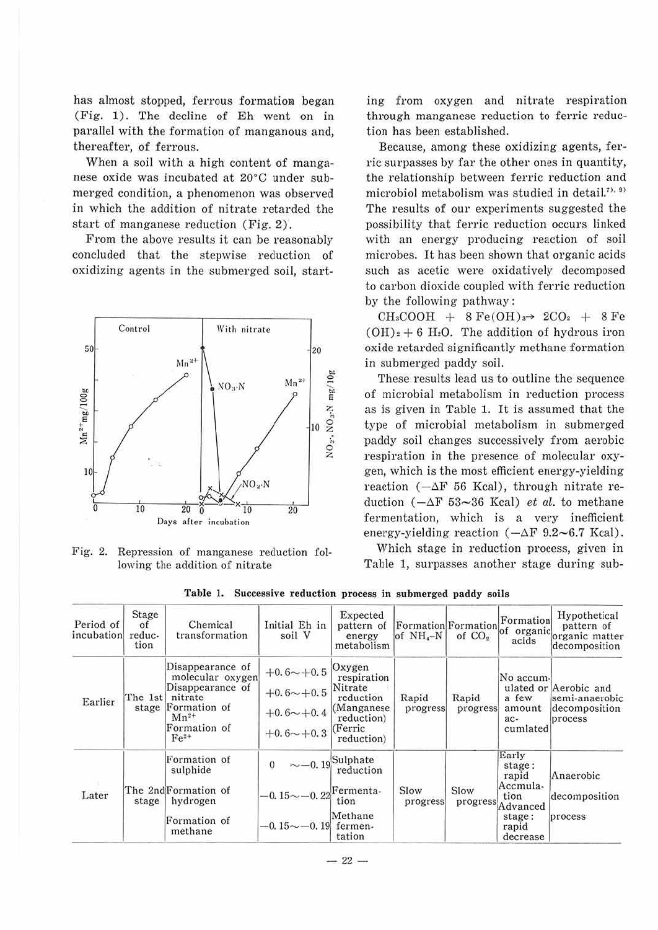has almost stopped, ferrous formation began (Fig. 1). The decline of Eh went on in parallel with the formation of manganous and, thereafter, of ferrous.

When a soil with a high content of manganese oxide was incubated at 20°C under submerged condition, a phenomenon was observed in which the addition of nitrate retarded the start of manganese reduction (Fig. 2).

From the above results it can be reasonably concluded that the stepwise reduction of oxidizing agents in the submerged soil, start-



Fig. 2. Repression of manganese reduction following the addition of nitrate

ing from oxygen and nitrate respiration through manganese reduction to ferric reduction has been established.

Because, among these oxidizing agents, ferric surpasses by far the other ones in quantity, the relationship between ferric reduction and microbiol metabolism was studied in detail.<sup>7), 9)</sup> The results of our experiments suggested the possibility that ferric reduction occurs linked with an energy producing reaction of soil microbes. It has been shown that organic acids such as acetic were oxidatively decomposed to carbon dioxide coupled with ferric reduction by the following pathway:

 $CH<sub>3</sub>COOH$  + 8 Fe(OH)<sup>3-></sup> 2CO<sub>2</sub> + 8 Fe  $(OH)<sub>2</sub> + 6 H<sub>2</sub>O$ . The addition of hydrous iron oxide retarded significantly methane formation in submerged paddy soil.

These results lead us to outline the sequence of microbial metabolism in reduction process as is given in Table 1. It is assumed that the type of microbial metabolism in submerged paddy soil changes successively from aerobic respiration in the presence of molecular oxygen, which is the most efficient energy-yielding reaction ( $-\Delta F$  56 Kcal), through nitrate reduction  $(-\Delta F 53~36$  Kcal) *et al.* to methane fermentation, which is a very inefficient energy-yielding reaction  $(-\Delta F \ 9.2 \sim 6.7 \$ Kcal).

Which stage in reduction process, given in Table l, surpasses another stage during sub-

| Period of<br>incubation | Stage<br>of<br>reduc-<br>tion | Chemical<br>transformation                                                                                                       | Initial Eh in<br>soil V                                                        | Expected<br>pattern of<br>energy<br>metabolism                                                      | Formation Formation of organic<br>of $NH_{4}-N$ | of CO <sub>2</sub> | acids                                                                                   | Hypothetical<br>pattern of<br>organic matter<br>decomposition       |
|-------------------------|-------------------------------|----------------------------------------------------------------------------------------------------------------------------------|--------------------------------------------------------------------------------|-----------------------------------------------------------------------------------------------------|-------------------------------------------------|--------------------|-----------------------------------------------------------------------------------------|---------------------------------------------------------------------|
| Earlier                 | The 1st                       | Disappearance of<br>molecular oxygen<br>Disappearance of<br>nitrate<br>stage Formation of<br>$Mn^{2+}$<br>Formation of<br>$Fe2+$ | $+0.6 - +0.5$<br>$+0.6 - +0.5$<br>$+0.6 \rightarrow +0.4$<br>+0.6 $\sim +0.3$  | Oxygen<br>respiration<br>Nitrate<br>reduction<br>(Manganese<br>reduction)<br>(Ferric)<br>reduction) | Rapid<br>progress                               | Rapid<br>progress  | No accum-<br>a few<br>amount<br>ac-<br>cumlated                                         | ulated or Aerobic and<br>semi-anaerobic<br>decomposition<br>process |
| Later                   | stage                         | Formation of<br>sulphide<br>The 2nd Formation of<br>hydrogen<br>Formation of<br>methane                                          | $\theta$<br>$-0.15$ $\sim$ $-0.22$ Fermenta-<br>$-0.15$ $\sim$ $-0.19$ fermen- | $\sim$ -0.19 Sulphate<br>tion<br>Methane<br>tation                                                  | Slow<br>progress                                | Slow<br>progress   | Early<br>stage:<br>rapid<br>Accmula-<br>tion<br>Advanced<br>stage:<br>rapid<br>decrease | Anaerobic<br>decomposition<br>process                               |

**Table** 1. **Successive reduction process in submerged paddy soils**